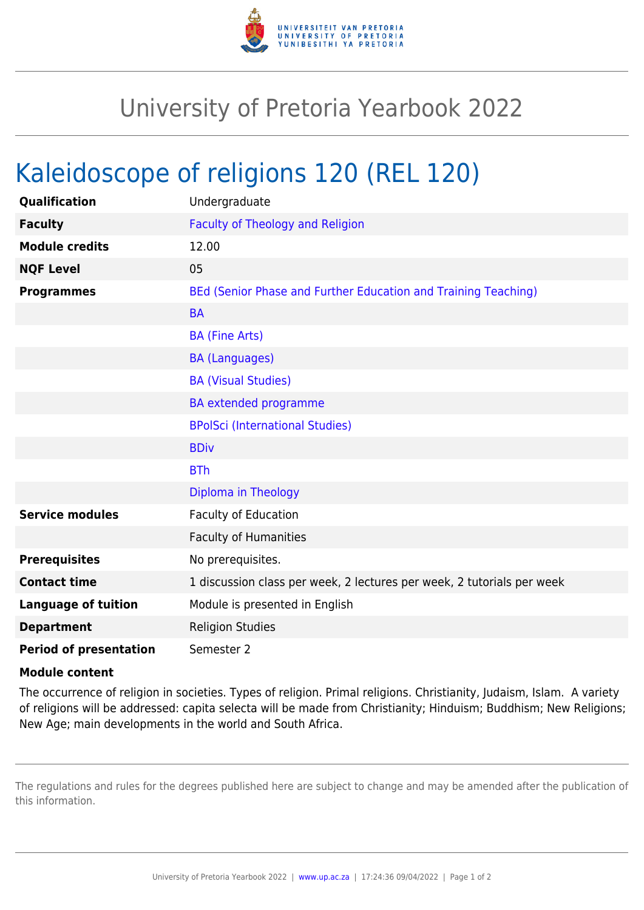

## University of Pretoria Yearbook 2022

## Kaleidoscope of religions 120 (REL 120)

| Qualification                 | Undergraduate                                                          |
|-------------------------------|------------------------------------------------------------------------|
| <b>Faculty</b>                | <b>Faculty of Theology and Religion</b>                                |
| <b>Module credits</b>         | 12.00                                                                  |
| <b>NQF Level</b>              | 05                                                                     |
| <b>Programmes</b>             | BEd (Senior Phase and Further Education and Training Teaching)         |
|                               | <b>BA</b>                                                              |
|                               | <b>BA (Fine Arts)</b>                                                  |
|                               | <b>BA (Languages)</b>                                                  |
|                               | <b>BA (Visual Studies)</b>                                             |
|                               | <b>BA</b> extended programme                                           |
|                               | <b>BPolSci (International Studies)</b>                                 |
|                               | <b>BDiv</b>                                                            |
|                               | <b>BTh</b>                                                             |
|                               | Diploma in Theology                                                    |
| <b>Service modules</b>        | Faculty of Education                                                   |
|                               | <b>Faculty of Humanities</b>                                           |
| <b>Prerequisites</b>          | No prerequisites.                                                      |
| <b>Contact time</b>           | 1 discussion class per week, 2 lectures per week, 2 tutorials per week |
| <b>Language of tuition</b>    | Module is presented in English                                         |
| <b>Department</b>             | <b>Religion Studies</b>                                                |
| <b>Period of presentation</b> | Semester 2                                                             |

## **Module content**

The occurrence of religion in societies. Types of religion. Primal religions. Christianity, Judaism, Islam. A variety of religions will be addressed: capita selecta will be made from Christianity; Hinduism; Buddhism; New Religions; New Age; main developments in the world and South Africa.

The regulations and rules for the degrees published here are subject to change and may be amended after the publication of this information.